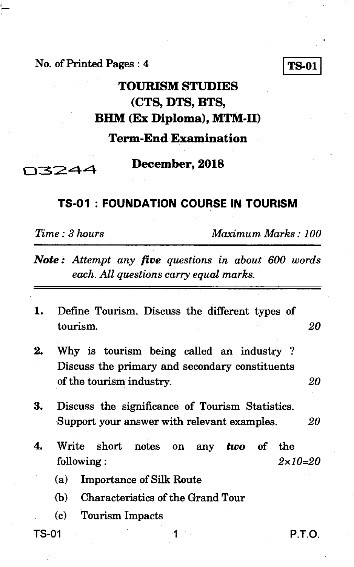**No. of Printed Pages : 4** TS-01

## **TOURISM STUDIES (CTS, DTS, BHM (Ex Diploma), MTM-II)**

**Term-End Examination** 

03244

#### **December, 2018**

### **TS-01 : FOUNDATION COURSE IN TOURISM**

*Time : 3 hours Maximum Marks : 100* 

- *Note : Attempt any five questions in about 600 words each. All questions carry equal marks.*
- **1. Define Tourism. Discuss the different types of tourism.** *20*
- **2. Why is tourism being called an industry ? Discuss the primary and secondary constituents of the tourism industry.** *20*
- **3. Discuss the significance of Tourism Statistics. Support your answer with relevant examples.** *20*
- **4. Write short notes on any** *two* **of the following :** *2x10=20* 
	- **(a) Importance of Silk Route**
	- **(b) Characteristics of the Grand Tour**
	- **(c) Tourism Impacts**
- 

**TS-01** 1 **P.T.O.**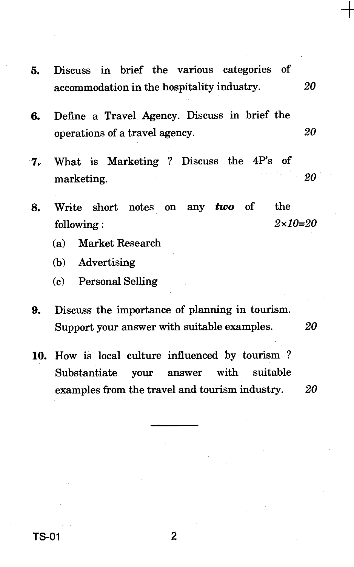- **5.** Discuss in brief the various categories of accommodation in the hospitality industry. *20*
- **6.** Define a Travel. Agency. Discuss in brief the operations of a travel agency. *20*
- 7. What is Marketing ? Discuss the 4P's of marketing. *20*
- **8.** Write short notes on any *two* of the following : *2x10=20* 
	- (a) Market Research
	- (b) Advertising
	- (c) Personal Selling
- **9.** Discuss the importance of planning in tourism. Support your answer with suitable examples. *20*
- 10. How is local culture influenced by tourism ? Substantiate your answer with suitable examples from the travel and tourism industry. *20*

**TS-01 2**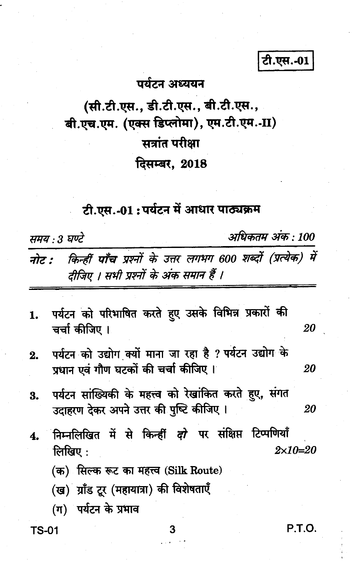#### पर्यटन अध्ययन

# (सी.टी.एस., डी.टी.एस., बी.टी.एस., बी.एच.एम. (एक्स डिप्लोमा), एम.टी.एम.-II) सत्रांत परीक्षा दिसम्बर, 2018

# टी.एस.-01:पर्यटन में आधार पाठ्यक्रम

समय : 3 घण्टे

अधिकतम अंक : 100

टी.एस.-01

किन्हीं पाँच प्रश्नों के उत्तर लगभग 600 शब्दों (प्रत्येक) में नोट : दीजिए । सभी प्रश्नों के अंक समान हैं ।

- पर्यटन को परिभाषित करते हुए उसके विभिन्न प्रकारों की 1. चर्चा कीजिए । 20
- पर्यटन को उद्योग क्यों माना जा रहा है ? पर्यटन उद्योग के  $2.$ प्रधान एवं गौण घटकों की चर्चा कीजिए । 20
- पर्यटन सांख्यिकी के महत्त्व को रेखांकित करते हुए, संगत 3. उदाहरण देकर अपने उत्तर की पुष्टि कीजिए । 20
- निम्नलिखित में से किन्हीं *दो* पर संक्षिप्त टिप्पणियाँ 4. लिखिए $\,$ :  $2 \times 10 = 20$ 
	- (क) सिल्क रूट का महत्त्व (Silk Route)
	- (ख) ग्राँड टूर (महायात्रा) की विशेषताएँ
	- (ग) पर्यटन के प्रभाव

**TS-01** 

**P.T.O.**